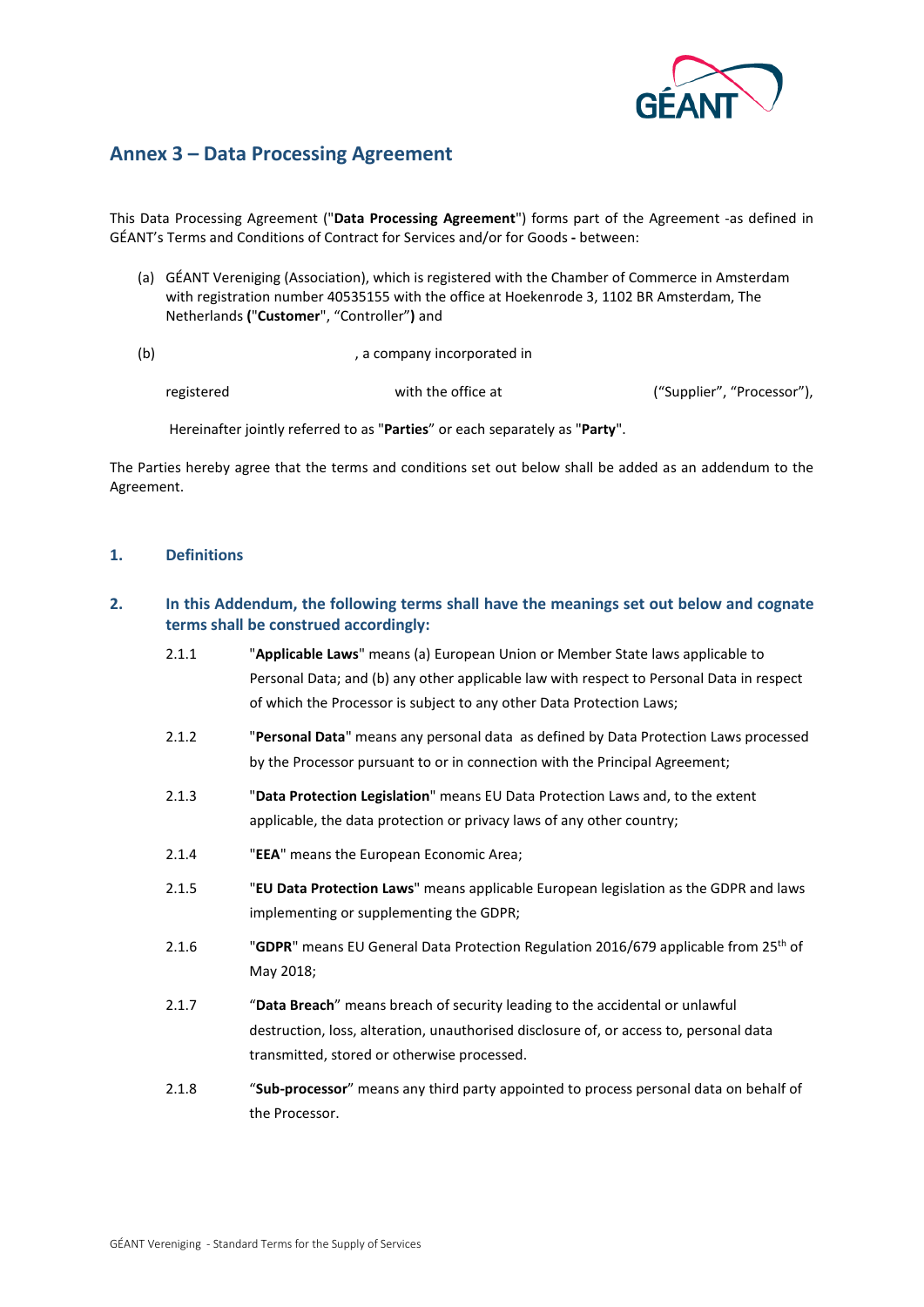

# **Annex 3 – Data Processing Agreement**

This Data Processing Agreement ("**Data Processing Agreement**") forms part of the Agreement -as defined in GÉANT's Terms and Conditions of Contract for Services and/or for Goods **-** between:

(a) GÉANT Vereniging (Association), which is registered with the Chamber of Commerce in Amsterdam with registration number 40535155 with the office at Hoekenrode 3, 1102 BR Amsterdam, The Netherlands **(**"**Customer**", "Controller"**)** and

(b) a company incorporated in

registered with the office at ("Supplier", "Processor"),

Hereinafter jointly referred to as "**Parties**" or each separately as "**Party**".

The Parties hereby agree that the terms and conditions set out below shall be added as an addendum to the Agreement.

## **1. Definitions**

## **2. In this Addendum, the following terms shall have the meanings set out below and cognate terms shall be construed accordingly:**

| 2.1.1 | "Applicable Laws" means (a) European Union or Member State laws applicable to<br>Personal Data; and (b) any other applicable law with respect to Personal Data in respect<br>of which the Processor is subject to any other Data Protection Laws; |
|-------|---------------------------------------------------------------------------------------------------------------------------------------------------------------------------------------------------------------------------------------------------|
| 2.1.2 | "Personal Data" means any personal data as defined by Data Protection Laws processed<br>by the Processor pursuant to or in connection with the Principal Agreement;                                                                               |
| 2.1.3 | "Data Protection Legislation" means EU Data Protection Laws and, to the extent<br>applicable, the data protection or privacy laws of any other country;                                                                                           |
| 2.1.4 | "EEA" means the European Economic Area;                                                                                                                                                                                                           |
| 2.1.5 | "EU Data Protection Laws" means applicable European legislation as the GDPR and laws<br>implementing or supplementing the GDPR;                                                                                                                   |
| 2.1.6 | "GDPR" means EU General Data Protection Regulation 2016/679 applicable from 25 <sup>th</sup> of<br>May 2018;                                                                                                                                      |
| 2.1.7 | "Data Breach" means breach of security leading to the accidental or unlawful<br>destruction, loss, alteration, unauthorised disclosure of, or access to, personal data<br>transmitted, stored or otherwise processed.                             |
| 2.1.8 | "Sub-processor" means any third party appointed to process personal data on behalf of<br>the Processor.                                                                                                                                           |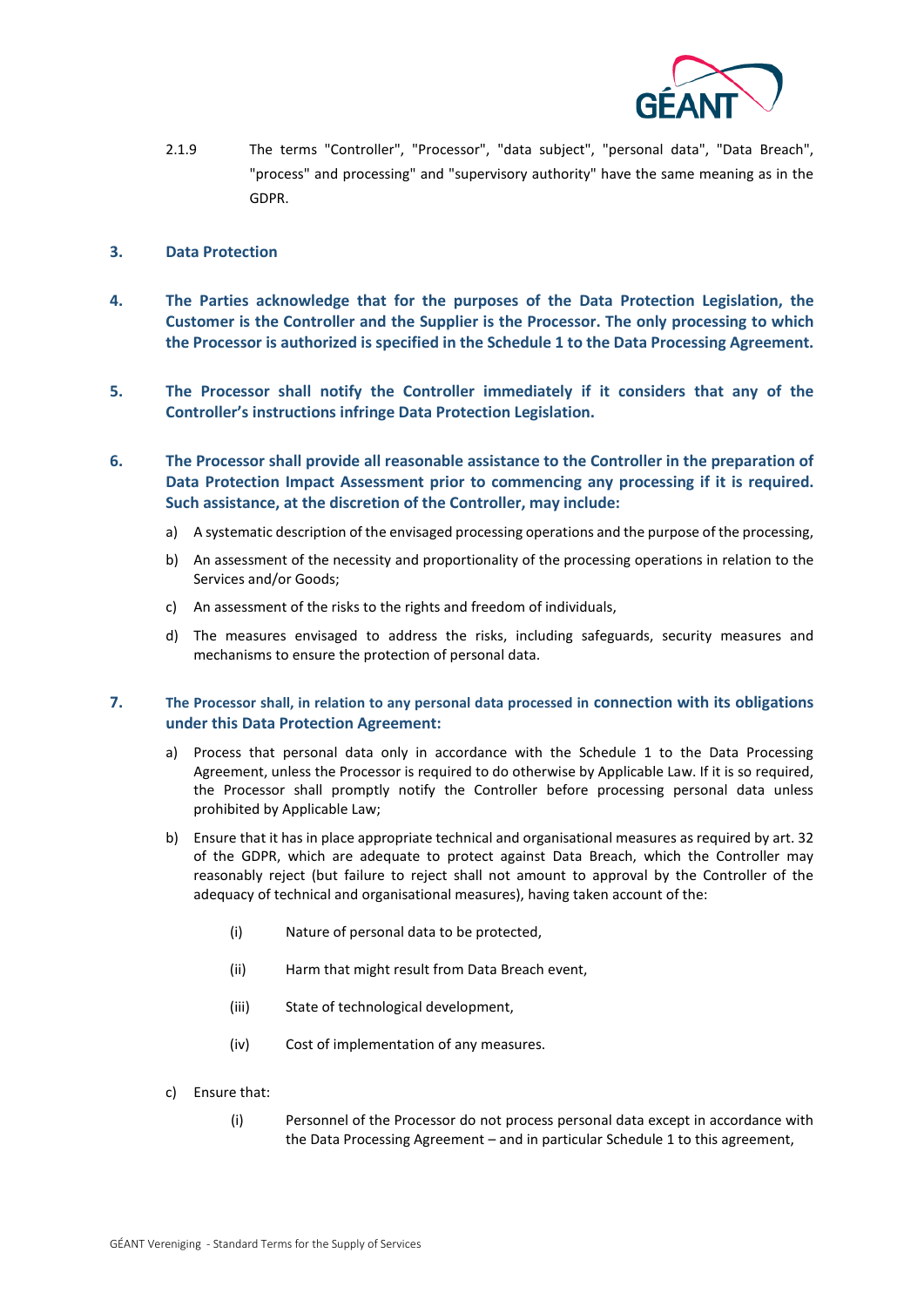

- 2.1.9 The terms "Controller", "Processor", "data subject", "personal data", "Data Breach", "process" and processing" and "supervisory authority" have the same meaning as in the GDPR.
- **3. Data Protection**
- **4. The Parties acknowledge that for the purposes of the Data Protection Legislation, the Customer is the Controller and the Supplier is the Processor. The only processing to which the Processor is authorized is specified in the Schedule 1 to the Data Processing Agreement.**
- **5. The Processor shall notify the Controller immediately if it considers that any of the Controller's instructions infringe Data Protection Legislation.**
- **6. The Processor shall provide all reasonable assistance to the Controller in the preparation of Data Protection Impact Assessment prior to commencing any processing if it is required. Such assistance, at the discretion of the Controller, may include:**
	- a) A systematic description of the envisaged processing operations and the purpose of the processing,
	- b) An assessment of the necessity and proportionality of the processing operations in relation to the Services and/or Goods;
	- c) An assessment of the risks to the rights and freedom of individuals,
	- d) The measures envisaged to address the risks, including safeguards, security measures and mechanisms to ensure the protection of personal data.
- **7. The Processor shall, in relation to any personal data processed in connection with its obligations under this Data Protection Agreement:**
	- a) Process that personal data only in accordance with the Schedule 1 to the Data Processing Agreement, unless the Processor is required to do otherwise by Applicable Law. If it is so required, the Processor shall promptly notify the Controller before processing personal data unless prohibited by Applicable Law;
	- b) Ensure that it has in place appropriate technical and organisational measures as required by art. 32 of the GDPR, which are adequate to protect against Data Breach, which the Controller may reasonably reject (but failure to reject shall not amount to approval by the Controller of the adequacy of technical and organisational measures), having taken account of the:
		- (i) Nature of personal data to be protected,
		- (ii) Harm that might result from Data Breach event,
		- (iii) State of technological development,
		- (iv) Cost of implementation of any measures.
	- c) Ensure that:
		- (i) Personnel of the Processor do not process personal data except in accordance with the Data Processing Agreement – and in particular Schedule 1 to this agreement,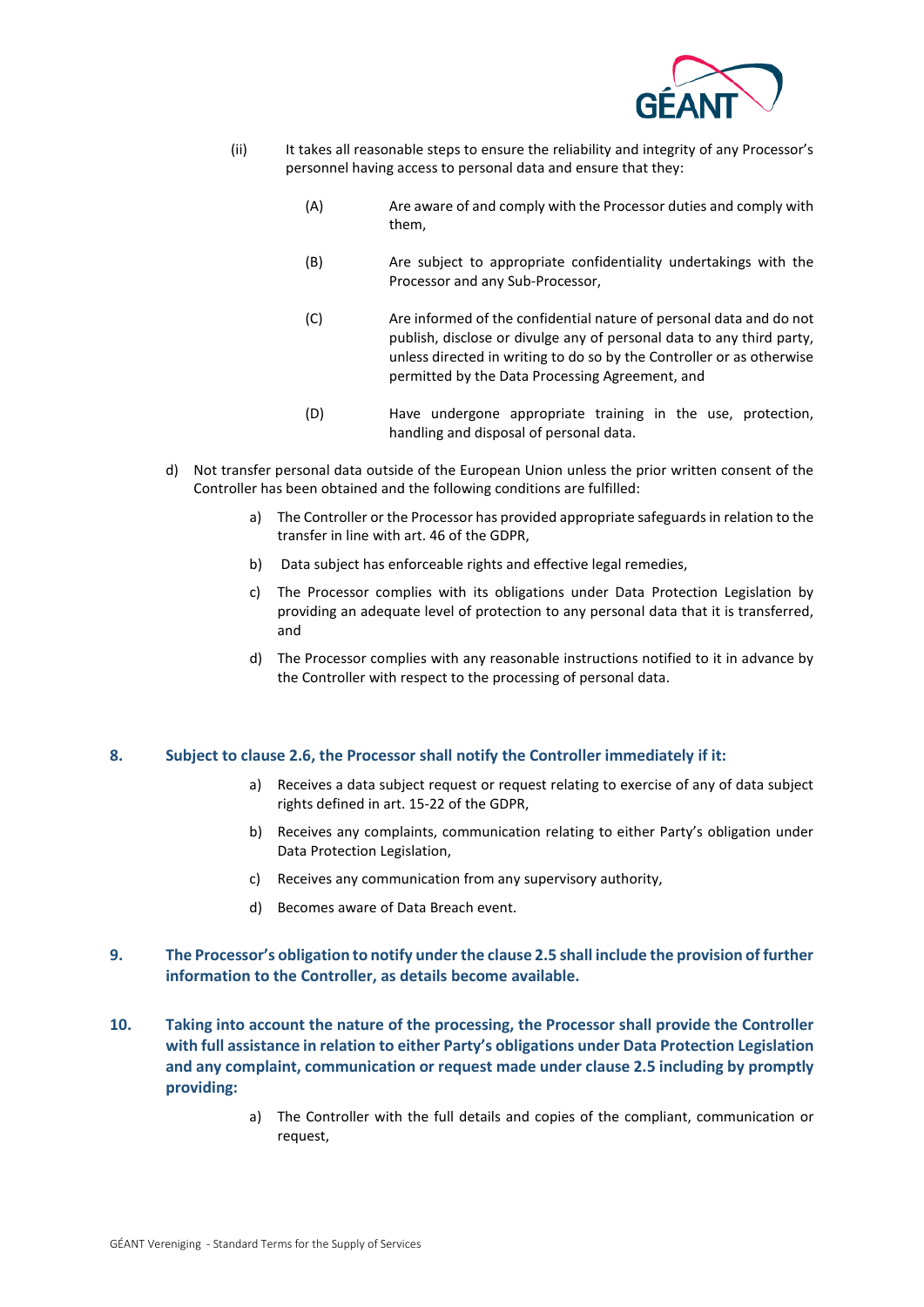

- (ii) It takes all reasonable steps to ensure the reliability and integrity of any Processor's personnel having access to personal data and ensure that they:
	- (A) Are aware of and comply with the Processor duties and comply with them,
	- (B) Are subject to appropriate confidentiality undertakings with the Processor and any Sub-Processor,
	- (C) Are informed of the confidential nature of personal data and do not publish, disclose or divulge any of personal data to any third party, unless directed in writing to do so by the Controller or as otherwise permitted by the Data Processing Agreement, and
	- (D) Have undergone appropriate training in the use, protection, handling and disposal of personal data.
- d) Not transfer personal data outside of the European Union unless the prior written consent of the Controller has been obtained and the following conditions are fulfilled:
	- a) The Controller or the Processor has provided appropriate safeguards in relation to the transfer in line with art. 46 of the GDPR,
	- b) Data subject has enforceable rights and effective legal remedies,
	- c) The Processor complies with its obligations under Data Protection Legislation by providing an adequate level of protection to any personal data that it is transferred, and
	- d) The Processor complies with any reasonable instructions notified to it in advance by the Controller with respect to the processing of personal data.

#### **8. Subject to clause 2.6, the Processor shall notify the Controller immediately if it:**

- a) Receives a data subject request or request relating to exercise of any of data subject rights defined in art. 15-22 of the GDPR,
- b) Receives any complaints, communication relating to either Party's obligation under Data Protection Legislation,
- c) Receives any communication from any supervisory authority,
- d) Becomes aware of Data Breach event.

### **9. The Processor's obligation to notify under the clause 2.5 shall include the provision of further information to the Controller, as details become available.**

- **10. Taking into account the nature of the processing, the Processor shall provide the Controller with full assistance in relation to either Party's obligations under Data Protection Legislation and any complaint, communication or request made under clause 2.5 including by promptly providing:**
	- a) The Controller with the full details and copies of the compliant, communication or request,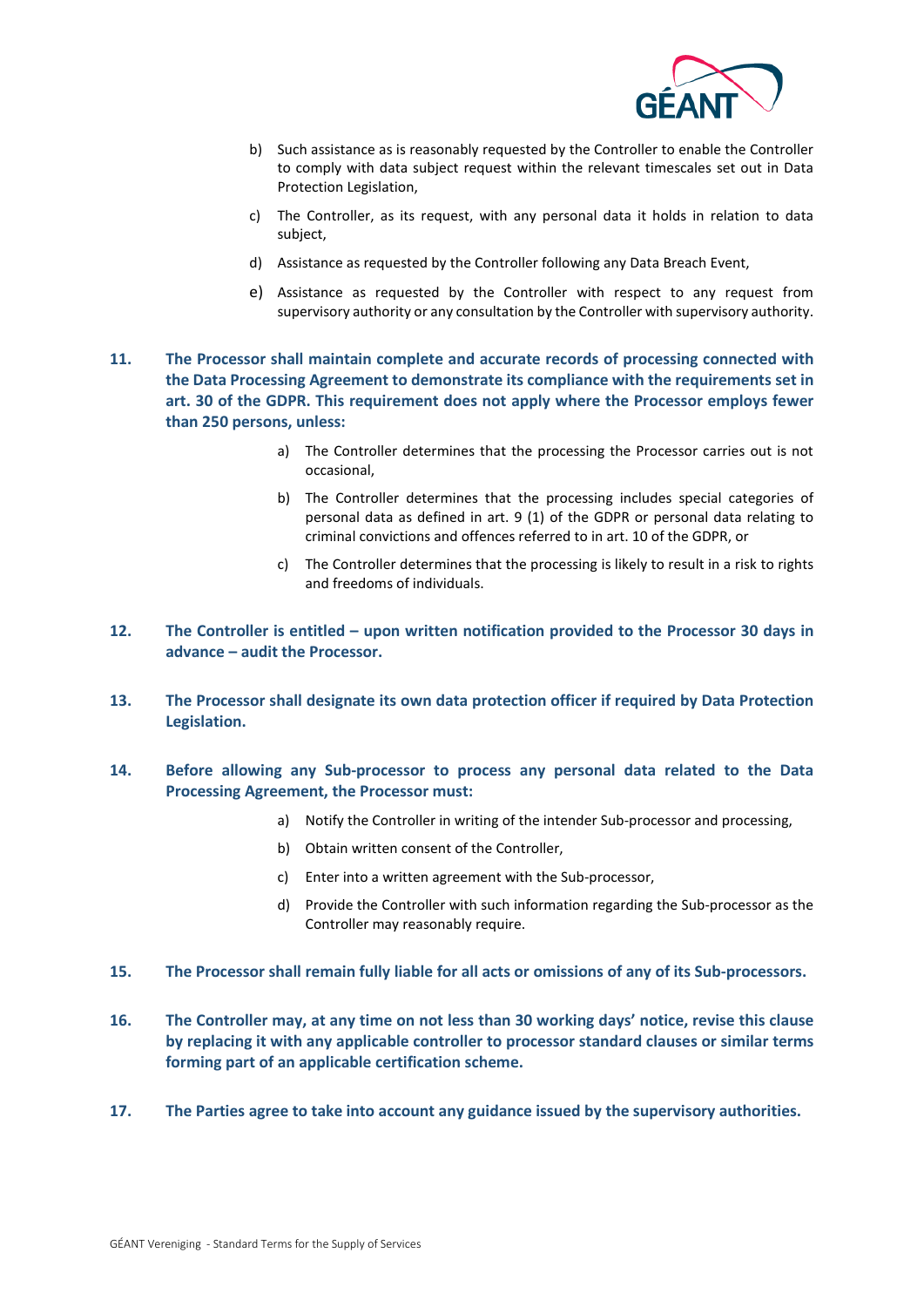

- b) Such assistance as is reasonably requested by the Controller to enable the Controller to comply with data subject request within the relevant timescales set out in Data Protection Legislation,
- c) The Controller, as its request, with any personal data it holds in relation to data subject,
- d) Assistance as requested by the Controller following any Data Breach Event,
- e) Assistance as requested by the Controller with respect to any request from supervisory authority or any consultation by the Controller with supervisory authority.
- **11. The Processor shall maintain complete and accurate records of processing connected with the Data Processing Agreement to demonstrate its compliance with the requirements set in art. 30 of the GDPR. This requirement does not apply where the Processor employs fewer than 250 persons, unless:**
	- a) The Controller determines that the processing the Processor carries out is not occasional,
	- b) The Controller determines that the processing includes special categories of personal data as defined in art. 9 (1) of the GDPR or personal data relating to criminal convictions and offences referred to in art. 10 of the GDPR, or
	- c) The Controller determines that the processing is likely to result in a risk to rights and freedoms of individuals.
- **12. The Controller is entitled upon written notification provided to the Processor 30 days in advance – audit the Processor.**
- **13. The Processor shall designate its own data protection officer if required by Data Protection Legislation.**
- **14. Before allowing any Sub-processor to process any personal data related to the Data Processing Agreement, the Processor must:**
	- a) Notify the Controller in writing of the intender Sub-processor and processing,
	- b) Obtain written consent of the Controller,
	- c) Enter into a written agreement with the Sub-processor,
	- d) Provide the Controller with such information regarding the Sub-processor as the Controller may reasonably require.
- **15. The Processor shall remain fully liable for all acts or omissions of any of its Sub-processors.**
- **16. The Controller may, at any time on not less than 30 working days' notice, revise this clause by replacing it with any applicable controller to processor standard clauses or similar terms forming part of an applicable certification scheme.**
- **17. The Parties agree to take into account any guidance issued by the supervisory authorities.**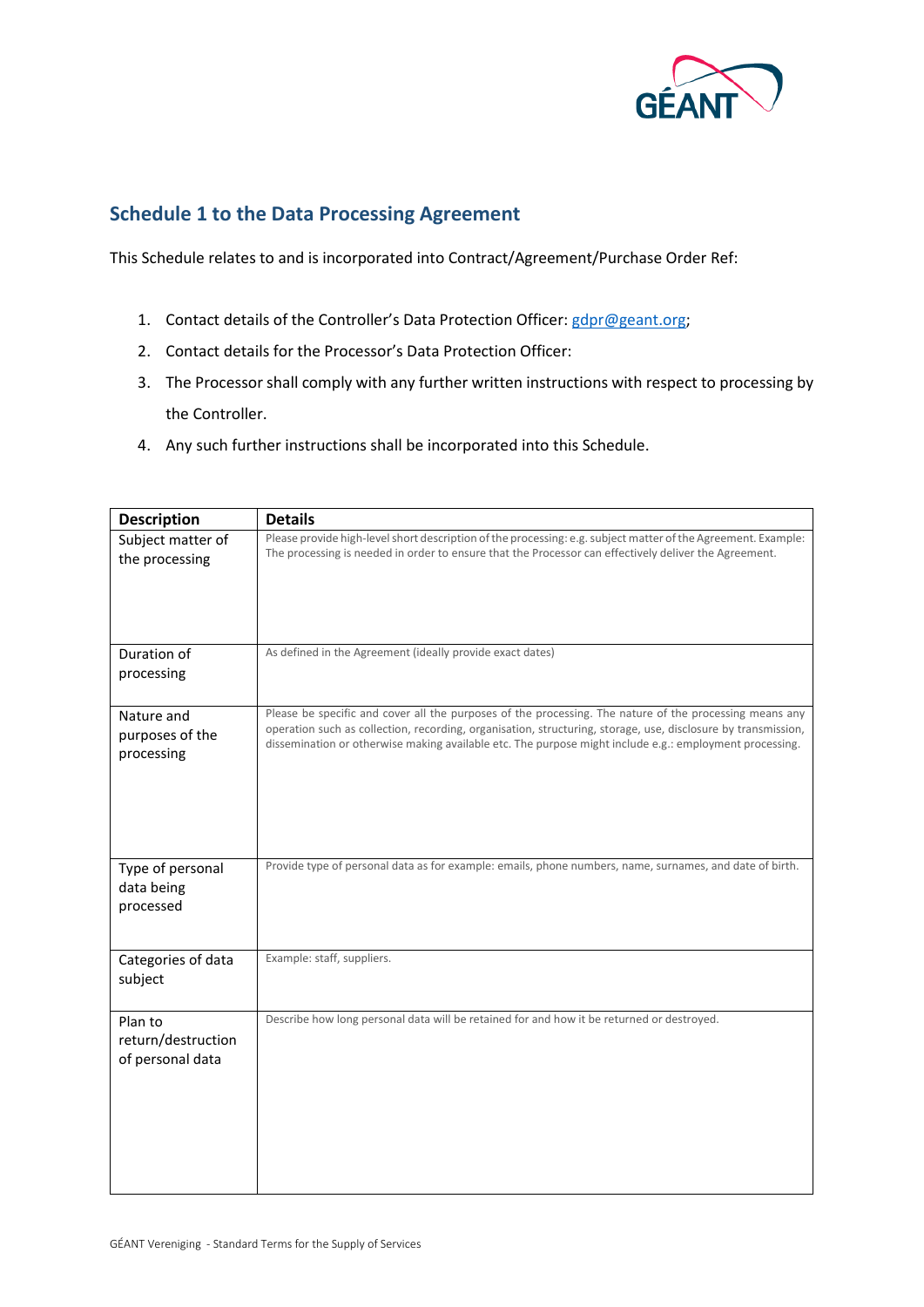

## **Schedule 1 to the Data Processing Agreement**

This Schedule relates to and is incorporated into Contract/Agreement/Purchase Order Ref:

- 1. Contact details of the Controller's Data Protection Officer[: gdpr@geant.org;](mailto:gdpr@geant.org)
- 2. Contact details for the Processor's Data Protection Officer:
- 3. The Processor shall comply with any further written instructions with respect to processing by the Controller.
- 4. Any such further instructions shall be incorporated into this Schedule.

| <b>Description</b>                                | <b>Details</b>                                                                                                                                                                                                                                                                                                                      |  |  |  |
|---------------------------------------------------|-------------------------------------------------------------------------------------------------------------------------------------------------------------------------------------------------------------------------------------------------------------------------------------------------------------------------------------|--|--|--|
| Subject matter of<br>the processing               | Please provide high-level short description of the processing: e.g. subject matter of the Agreement. Example:<br>The processing is needed in order to ensure that the Processor can effectively deliver the Agreement.                                                                                                              |  |  |  |
| Duration of<br>processing                         | As defined in the Agreement (ideally provide exact dates)                                                                                                                                                                                                                                                                           |  |  |  |
| Nature and<br>purposes of the<br>processing       | Please be specific and cover all the purposes of the processing. The nature of the processing means any<br>operation such as collection, recording, organisation, structuring, storage, use, disclosure by transmission,<br>dissemination or otherwise making available etc. The purpose might include e.g.: employment processing. |  |  |  |
| Type of personal<br>data being<br>processed       | Provide type of personal data as for example: emails, phone numbers, name, surnames, and date of birth.                                                                                                                                                                                                                             |  |  |  |
| Categories of data<br>subject                     | Example: staff, suppliers.                                                                                                                                                                                                                                                                                                          |  |  |  |
| Plan to<br>return/destruction<br>of personal data | Describe how long personal data will be retained for and how it be returned or destroyed.                                                                                                                                                                                                                                           |  |  |  |